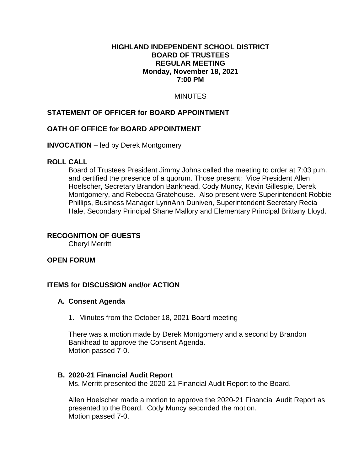#### **HIGHLAND INDEPENDENT SCHOOL DISTRICT BOARD OF TRUSTEES REGULAR MEETING Monday, November 18, 2021 7:00 PM**

# MINUTES

## **STATEMENT OF OFFICER for BOARD APPOINTMENT**

### **OATH OF OFFICE for BOARD APPOINTMENT**

### **INVOCATION** – led by Derek Montgomery

#### **ROLL CALL**

Board of Trustees President Jimmy Johns called the meeting to order at 7:03 p.m. and certified the presence of a quorum. Those present: Vice President Allen Hoelscher, Secretary Brandon Bankhead, Cody Muncy, Kevin Gillespie, Derek Montgomery, and Rebecca Gratehouse. Also present were Superintendent Robbie Phillips, Business Manager LynnAnn Duniven, Superintendent Secretary Recia Hale, Secondary Principal Shane Mallory and Elementary Principal Brittany Lloyd.

### **RECOGNITION OF GUESTS**

Cheryl Merritt

### **OPEN FORUM**

### **ITEMS for DISCUSSION and/or ACTION**

#### **A. Consent Agenda**

1. Minutes from the October 18, 2021 Board meeting

There was a motion made by Derek Montgomery and a second by Brandon Bankhead to approve the Consent Agenda. Motion passed 7-0.

### **B. 2020-21 Financial Audit Report**

Ms. Merritt presented the 2020-21 Financial Audit Report to the Board.

Allen Hoelscher made a motion to approve the 2020-21 Financial Audit Report as presented to the Board. Cody Muncy seconded the motion. Motion passed 7-0.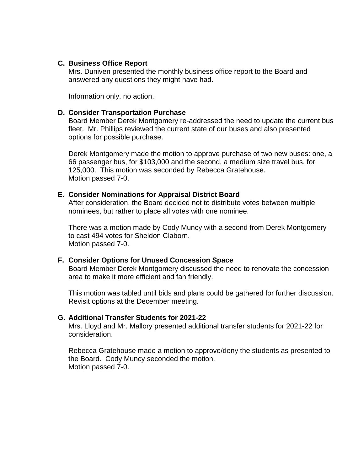#### **C. Business Office Report**

Mrs. Duniven presented the monthly business office report to the Board and answered any questions they might have had.

Information only, no action.

#### **D. Consider Transportation Purchase**

Board Member Derek Montgomery re-addressed the need to update the current bus fleet. Mr. Phillips reviewed the current state of our buses and also presented options for possible purchase.

Derek Montgomery made the motion to approve purchase of two new buses: one, a 66 passenger bus, for \$103,000 and the second, a medium size travel bus, for 125,000. This motion was seconded by Rebecca Gratehouse. Motion passed 7-0.

#### **E. Consider Nominations for Appraisal District Board**

After consideration, the Board decided not to distribute votes between multiple nominees, but rather to place all votes with one nominee.

There was a motion made by Cody Muncy with a second from Derek Montgomery to cast 494 votes for Sheldon Claborn. Motion passed 7-0.

### **F. Consider Options for Unused Concession Space**

Board Member Derek Montgomery discussed the need to renovate the concession area to make it more efficient and fan friendly.

This motion was tabled until bids and plans could be gathered for further discussion. Revisit options at the December meeting.

#### **G. Additional Transfer Students for 2021-22**

Mrs. Lloyd and Mr. Mallory presented additional transfer students for 2021-22 for consideration.

Rebecca Gratehouse made a motion to approve/deny the students as presented to the Board. Cody Muncy seconded the motion. Motion passed 7-0.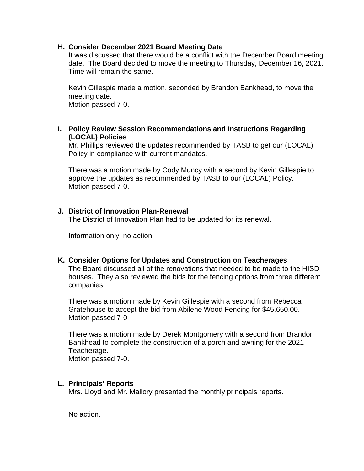### **H. Consider December 2021 Board Meeting Date**

It was discussed that there would be a conflict with the December Board meeting date. The Board decided to move the meeting to Thursday, December 16, 2021. Time will remain the same.

Kevin Gillespie made a motion, seconded by Brandon Bankhead, to move the meeting date.

Motion passed 7-0.

# **I. Policy Review Session Recommendations and Instructions Regarding (LOCAL) Policies**

Mr. Phillips reviewed the updates recommended by TASB to get our (LOCAL) Policy in compliance with current mandates.

There was a motion made by Cody Muncy with a second by Kevin Gillespie to approve the updates as recommended by TASB to our (LOCAL) Policy. Motion passed 7-0.

### **J. District of Innovation Plan-Renewal**

The District of Innovation Plan had to be updated for its renewal.

Information only, no action.

### **K. Consider Options for Updates and Construction on Teacherages**

The Board discussed all of the renovations that needed to be made to the HISD houses. They also reviewed the bids for the fencing options from three different companies.

There was a motion made by Kevin Gillespie with a second from Rebecca Gratehouse to accept the bid from Abilene Wood Fencing for \$45,650.00. Motion passed 7-0

There was a motion made by Derek Montgomery with a second from Brandon Bankhead to complete the construction of a porch and awning for the 2021 Teacherage.

Motion passed 7-0.

### **L. Principals' Reports**

Mrs. Lloyd and Mr. Mallory presented the monthly principals reports.

No action.